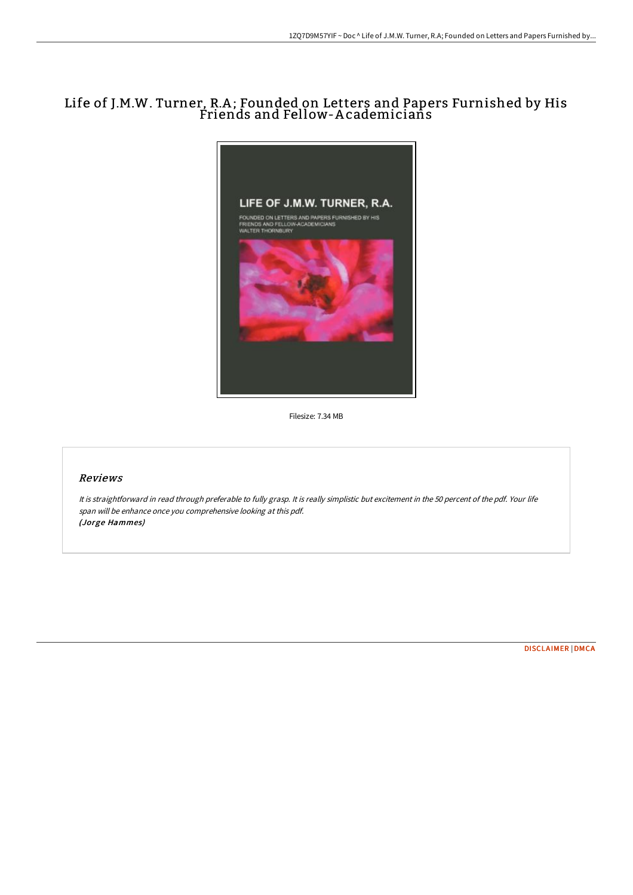# Life of J.M.W. Turner, R.A ; Founded on Letters and Papers Furnished by His Friends and Fellow-A cademicians



Filesize: 7.34 MB

# Reviews

It is straightforward in read through preferable to fully grasp. It is really simplistic but excitement in the <sup>50</sup> percent of the pdf. Your life span will be enhance once you comprehensive looking at this pdf. (Jorge Hammes)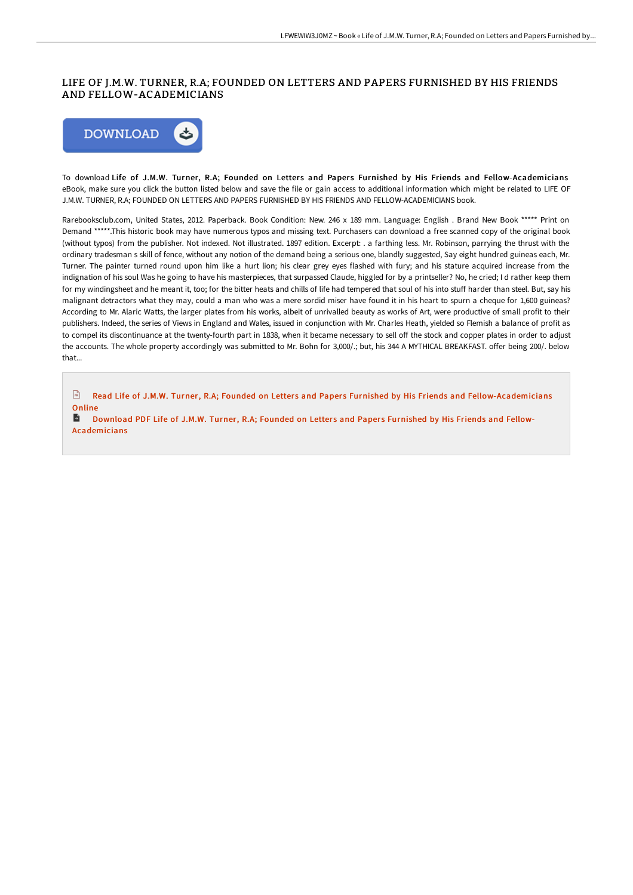## LIFE OF J.M.W. TURNER, R.A; FOUNDED ON LETTERS AND PAPERS FURNISHED BY HIS FRIENDS AND FELLOW-ACADEMICIANS



To download Life of J.M.W. Turner, R.A; Founded on Letters and Papers Furnished by His Friends and Fellow-Academicians eBook, make sure you click the button listed below and save the file or gain access to additional information which might be related to LIFE OF J.M.W. TURNER, R.A; FOUNDED ON LETTERS AND PAPERS FURNISHED BY HIS FRIENDS AND FELLOW-ACADEMICIANS book.

Rarebooksclub.com, United States, 2012. Paperback. Book Condition: New. 246 x 189 mm. Language: English . Brand New Book \*\*\*\*\* Print on Demand \*\*\*\*\*.This historic book may have numerous typos and missing text. Purchasers can download a free scanned copy of the original book (without typos) from the publisher. Not indexed. Not illustrated. 1897 edition. Excerpt: . a farthing less. Mr. Robinson, parrying the thrust with the ordinary tradesman s skill of fence, without any notion of the demand being a serious one, blandly suggested, Say eight hundred guineas each, Mr. Turner. The painter turned round upon him like a hurt lion; his clear grey eyes flashed with fury; and his stature acquired increase from the indignation of his soul Was he going to have his masterpieces, that surpassed Claude, higgled for by a printseller? No, he cried; I d rather keep them for my windingsheet and he meant it, too; for the bitter heats and chills of life had tempered that soul of his into stuff harder than steel. But, say his malignant detractors what they may, could a man who was a mere sordid miser have found it in his heart to spurn a cheque for 1,600 guineas? According to Mr. Alaric Watts, the larger plates from his works, albeit of unrivalled beauty as works of Art, were productive of small profit to their publishers. Indeed, the series of Views in England and Wales, issued in conjunction with Mr. Charles Heath, yielded so Flemish a balance of profit as to compel its discontinuance at the twenty-fourth part in 1838, when it became necessary to sell off the stock and copper plates in order to adjust the accounts. The whole property accordingly was submitted to Mr. Bohn for 3,000/.; but, his 344 A MYTHICAL BREAKFAST. offer being 200/. below that...

 $\boxed{m}$ Read Life of J.M.W. Turner, R.A; Founded on Letters and Papers Furnished by His Friends and [Fellow-Academicians](http://www.bookdirs.com/life-of-j-m-w-turner-r-a-founded-on-letters-and-.html) Online

В Download PDF Life of J.M.W. Turner, R.A; Founded on Letters and Papers Furnished by His Friends and Fellow-[Academicians](http://www.bookdirs.com/life-of-j-m-w-turner-r-a-founded-on-letters-and-.html)